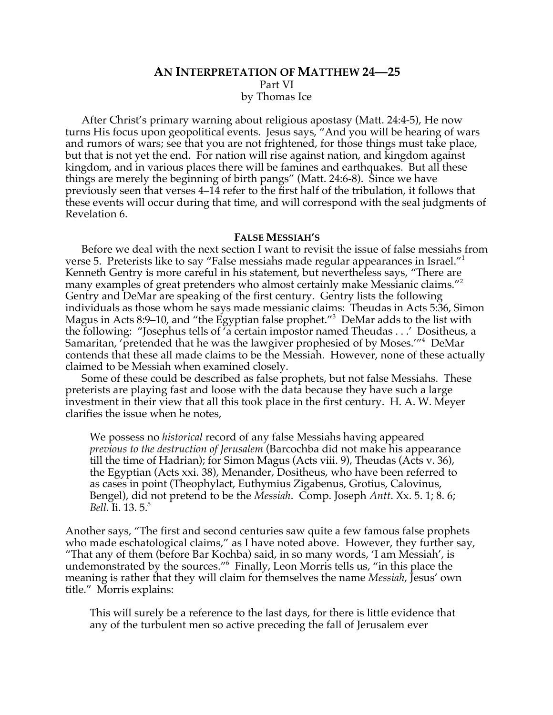# **AN INTERPRETATION OF MATTHEW 24—25** Part VI by Thomas Ice

After Christ's primary warning about religious apostasy (Matt. 24:4-5), He now turns His focus upon geopolitical events. Jesus says, "And you will be hearing of wars and rumors of wars; see that you are not frightened, for those things must take place, but that is not yet the end. For nation will rise against nation, and kingdom against kingdom, and in various places there will be famines and earthquakes. But all these things are merely the beginning of birth pangs" (Matt. 24:6-8). Since we have previously seen that verses 4–14 refer to the first half of the tribulation, it follows that these events will occur during that time, and will correspond with the seal judgments of Revelation 6.

#### **FALSE MESSIAH'S**

Before we deal with the next section I want to revisit the issue of false messiahs from verse 5. Preterists like to say "False messiahs made regular appearances in Israel."1 Kenneth Gentry is more careful in his statement, but nevertheless says, "There are many examples of great pretenders who almost certainly make Messianic claims."<sup>2</sup> Gentry and DeMar are speaking of the first century. Gentry lists the following individuals as those whom he says made messianic claims: Theudas in Acts 5:36, Simon Magus in Acts 8:9–10, and "the Egyptian false prophet."<sup>3</sup> DeMar adds to the list with the following: "Josephus tells of 'a certain impostor named Theudas . . .' Dositheus, a Samaritan, 'pretended that he was the lawgiver prophesied of by Moses.'"4 DeMar contends that these all made claims to be the Messiah. However, none of these actually claimed to be Messiah when examined closely.

Some of these could be described as false prophets, but not false Messiahs. These preterists are playing fast and loose with the data because they have such a large investment in their view that all this took place in the first century. H. A. W. Meyer clarifies the issue when he notes,

We possess no *historical* record of any false Messiahs having appeared *previous to the destruction of Jerusalem* (Barcochba did not make his appearance till the time of Hadrian); for Simon Magus (Acts viii. 9), Theudas (Acts v. 36), the Egyptian (Acts xxi. 38), Menander, Dositheus, who have been referred to as cases in point (Theophylact, Euthymius Zigabenus, Grotius, Calovinus, Bengel), did not pretend to be the *Messiah*. Comp. Joseph *Antt*. Xx. 5. 1; 8. 6; *Bell*. Ii. 13. 5.<sup>5</sup>

Another says, "The first and second centuries saw quite a few famous false prophets who made eschatological claims," as I have noted above. However, they further say, "That any of them (before Bar Kochba) said, in so many words, 'I am Messiah', is undemonstrated by the sources."6 Finally, Leon Morris tells us, "in this place the meaning is rather that they will claim for themselves the name *Messiah*, Jesus' own title." Morris explains:

This will surely be a reference to the last days, for there is little evidence that any of the turbulent men so active preceding the fall of Jerusalem ever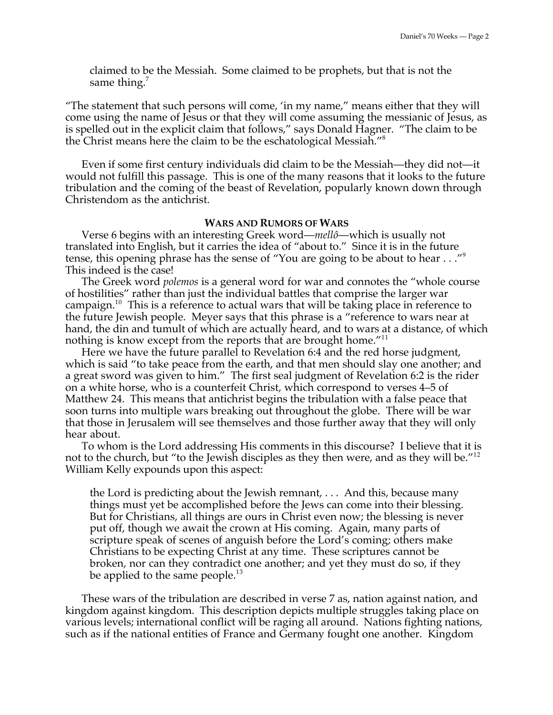claimed to be the Messiah. Some claimed to be prophets, but that is not the same thing. $<sup>7</sup>$ </sup>

"The statement that such persons will come, 'in my name," means either that they will come using the name of Jesus or that they will come assuming the messianic of Jesus, as is spelled out in the explicit claim that follows," says Donald Hagner. "The claim to be the Christ means here the claim to be the eschatological Messiah."8

Even if some first century individuals did claim to be the Messiah—they did not—it would not fulfill this passage. This is one of the many reasons that it looks to the future tribulation and the coming of the beast of Revelation, popularly known down through Christendom as the antichrist.

### **WARS AND RUMORS OF WARS**

Verse 6 begins with an interesting Greek word—*mellô*—which is usually not translated into English, but it carries the idea of "about to." Since it is in the future tense, this opening phrase has the sense of "You are going to be about to hear . . ."<sup>9</sup> This indeed is the case!

The Greek word *polemos* is a general word for war and connotes the "whole course of hostilities" rather than just the individual battles that comprise the larger war campaign.<sup>10</sup> This is a reference to actual wars that will be taking place in reference to the future Jewish people. Meyer says that this phrase is a "reference to wars near at hand, the din and tumult of which are actually heard, and to wars at a distance, of which nothing is know except from the reports that are brought home."<sup>11</sup>

Here we have the future parallel to Revelation 6:4 and the red horse judgment, which is said "to take peace from the earth, and that men should slay one another; and a great sword was given to him." The first seal judgment of Revelation 6:2 is the rider on a white horse, who is a counterfeit Christ, which correspond to verses 4–5 of Matthew 24. This means that antichrist begins the tribulation with a false peace that soon turns into multiple wars breaking out throughout the globe. There will be war that those in Jerusalem will see themselves and those further away that they will only hear about.

To whom is the Lord addressing His comments in this discourse? I believe that it is not to the church, but "to the Jewish disciples as they then were, and as they will be."<sup>12</sup> William Kelly expounds upon this aspect:

the Lord is predicting about the Jewish remnant, . . . And this, because many things must yet be accomplished before the Jews can come into their blessing. But for Christians, all things are ours in Christ even now; the blessing is never put off, though we await the crown at His coming. Again, many parts of scripture speak of scenes of anguish before the Lord's coming; others make Christians to be expecting Christ at any time. These scriptures cannot be broken, nor can they contradict one another; and yet they must do so, if they be applied to the same people. $^{13}$ 

These wars of the tribulation are described in verse 7 as, nation against nation, and kingdom against kingdom. This description depicts multiple struggles taking place on various levels; international conflict will be raging all around. Nations fighting nations, such as if the national entities of France and Germany fought one another. Kingdom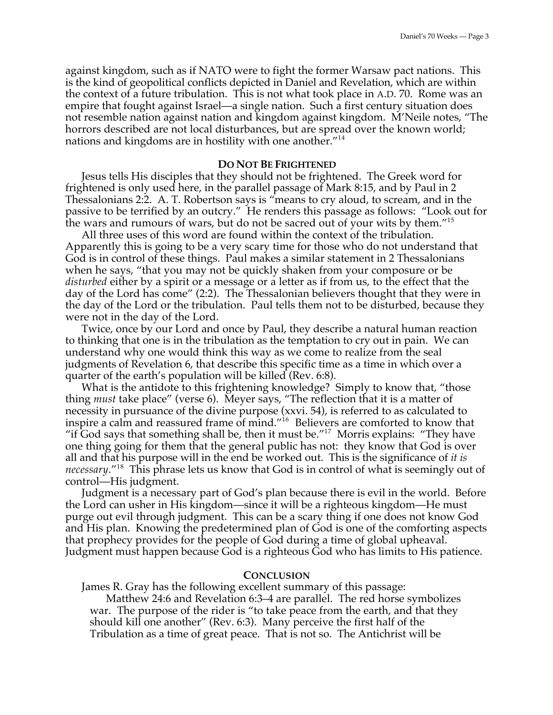against kingdom, such as if NATO were to fight the former Warsaw pact nations. This is the kind of geopolitical conflicts depicted in Daniel and Revelation, which are within the context of a future tribulation. This is not what took place in A.D. 70. Rome was an empire that fought against Israel—a single nation. Such a first century situation does not resemble nation against nation and kingdom against kingdom. M'Neile notes, "The horrors described are not local disturbances, but are spread over the known world; nations and kingdoms are in hostility with one another."<sup>14</sup>

### **DO NOT BE FRIGHTENED**

Jesus tells His disciples that they should not be frightened. The Greek word for frightened is only used here, in the parallel passage of Mark 8:15, and by Paul in 2 Thessalonians 2:2. A. T. Robertson says is "means to cry aloud, to scream, and in the passive to be terrified by an outcry." He renders this passage as follows: "Look out for the wars and rumours of wars, but do not be sacred out of your wits by them."<sup>15</sup>

All three uses of this word are found within the context of the tribulation. Apparently this is going to be a very scary time for those who do not understand that God is in control of these things. Paul makes a similar statement in 2 Thessalonians when he says, "that you may not be quickly shaken from your composure or be *disturbed* either by a spirit or a message or a letter as if from us, to the effect that the day of the Lord has come" (2:2). The Thessalonian believers thought that they were in the day of the Lord or the tribulation. Paul tells them not to be disturbed, because they were not in the day of the Lord.

Twice, once by our Lord and once by Paul, they describe a natural human reaction to thinking that one is in the tribulation as the temptation to cry out in pain. We can understand why one would think this way as we come to realize from the seal judgments of Revelation 6, that describe this specific time as a time in which over a quarter of the earth's population will be killed (Rev. 6:8).

What is the antidote to this frightening knowledge? Simply to know that, "those thing *must* take place" (verse 6). Meyer says, "The reflection that it is a matter of necessity in pursuance of the divine purpose (xxvi. 54), is referred to as calculated to inspire a calm and reassured frame of mind."16 Believers are comforted to know that "if God says that something shall be, then it must be." $17$  Morris explains: "They have one thing going for them that the general public has not: they know that God is over all and that his purpose will in the end be worked out. This is the significance of *it is necessary*."18 This phrase lets us know that God is in control of what is seemingly out of control—His judgment.

Judgment is a necessary part of God's plan because there is evil in the world. Before the Lord can usher in His kingdom—since it will be a righteous kingdom—He must purge out evil through judgment. This can be a scary thing if one does not know God and His plan. Knowing the predetermined plan of God is one of the comforting aspects that prophecy provides for the people of God during a time of global upheaval. Judgment must happen because God is a righteous God who has limits to His patience.

### **CONCLUSION**

James R. Gray has the following excellent summary of this passage:

Matthew 24:6 and Revelation 6:3–4 are parallel. The red horse symbolizes war. The purpose of the rider is "to take peace from the earth, and that they should kill one another" (Rev. 6:3). Many perceive the first half of the Tribulation as a time of great peace. That is not so. The Antichrist will be